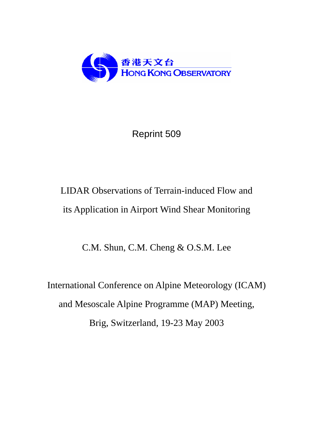

## Reprint 509

# LIDAR Observations of Terrain-induced Flow and its Application in Airport Wind Shear Monitoring

C.M. Shun, C.M. Cheng & O.S.M. Lee

International Conference on Alpine Meteorology (ICAM) and Mesoscale Alpine Programme (MAP) Meeting, Brig, Switzerland, 19-23 May 2003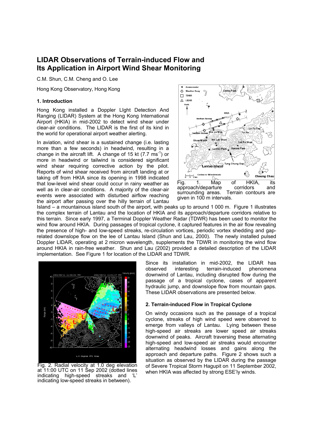### **LIDAR Observations of Terrain-induced Flow and Its Application in Airport Wind Shear Monitoring**

C.M. Shun, C.M. Cheng and O. Lee

Hong Kong Observatory, Hong Kong

#### **1. Introduction**

Hong Kong installed a Doppler LIght Detection And Ranging (LIDAR) System at the Hong Kong International Airport (HKIA) in mid-2002 to detect wind shear under clear-air conditions. The LIDAR is the first of its kind in the world for operational airport weather alerting.

In aviation, wind shear is a sustained change (i.e. lasting more than a few seconds) in headwind, resulting in a change in the aircraft lift. A change of 15 kt  $(7.7 \text{ ms}^{-1})$  or more in headwind or tailwind is considered significant wind shear requiring corrective action by the pilot. Reports of wind shear received from aircraft landing at or taking off from HKIA since its opening in 1998 indicated that low-level wind shear could occur in rainy weather as well as in clear-air conditions. A majority of the clear-air events were associated with disturbed airflow reaching the airport after passing over the hilly terrain of Lantau



Island – a mountainous island south of the airport, with peaks up to around 1 000 m. Figure 1 illustrates the complex terrain of Lantau and the location of HKIA and its approach/departure corridors relative to this terrain. Since early 1997, a Terminal Doppler Weather Radar (TDWR) has been used to monitor the wind flow around HKIA. During passages of tropical cyclone, it captured features in the air flow revealing the presence of high- and low-speed streaks, re-circulation vortices, periodic vortex shedding and gaprelated downslope flow on the lee of Lantau Island (Shun and Lau, 2000). The newly installed pulsed Doppler LIDAR, operating at 2 micron wavelength, supplements the TDWR in monitoring the wind flow around HKIA in rain-free weather. Shun and Lau (2002) provided a detailed description of the LIDAR implementation. See Figure 1 for location of the LIDAR and TDWR.



Fig. 2. Radial velocity at 1.0 deg elevation at 11:00 UTC on 11 Sep 2002 (dotted lines indicating high-speed streaks and indicating low-speed streaks in between).

Since its installation in mid-2002, the LIDAR has observed interesting terrain-induced phenomena downwind of Lantau, including disrupted flow during the passage of a tropical cyclone, cases of apparent hydraulic jump, and downslope flow from mountain gaps. These LIDAR observations are presented below.

#### **2. Terrain-induced Flow in Tropical Cyclone**

On windy occasions such as the passage of a tropical cyclone, streaks of high wind speed were observed to emerge from valleys of Lantau. Lying between these high-speed air streaks are lower speed air streaks downwind of peaks. Aircraft traversing these alternating high-speed and low-speed air streaks would encounter alternating headwind losses and gains along the approach and departure paths. Figure 2 shows such a situation as observed by the LIDAR during the passage of Severe Tropical Storm Hagupit on 11 September 2002, when HKIA was affected by strong ESE'ly winds.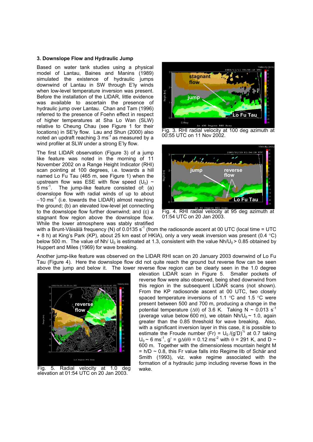#### **3. Downslope Flow and Hydraulic Jump**

Based on water tank studies using a physical model of Lantau, Baines and Manins (1989) simulated the existence of hydraulic jumps downwind of Lantau in SW through E'ly winds when low-level temperature inversion was present. Before the installation of the LIDAR, little evidence was available to ascertain the presence of hydraulic jump over Lantau. Chan and Tam (1996) referred to the presence of Foehn effect in respect of higher temperatures at Sha Lo Wan (SLW) relative to Cheung Chau (see Figure 1 for their locations) in SE'ly flow. Lau and Shun (2000) also noted an updraft reaching 3 ms-1 as measured by a wind profiler at SLW under a strong E'ly flow.

The first LIDAR observation (Figure 3) of a jump like feature was noted in the morning of 11 November 2002 on a Range Height Indicator (RHI) scan pointing at 100 degrees, i.e. towards a hill named Lo Fu Tau (465 m, see Figure 1) when the upstream flow was ESE with flow speed  $(U_0) \sim$  $5 \text{ ms}^{-1}$ . The jump-like feature consisted of: (a) downslope flow with radial winds of up to about −10 ms-1 (i.e. towards the LIDAR) almost reaching the ground; (b) an elevated low-level jet connecting to the downslope flow further downwind; and (c) a stagnant flow region above the downslope flow. While the lower atmosphere was stably stratified



Fig. 3. RHI radial velocity at 100 deg azimuth at 00:55 UTC on 11 Nov 2002.



with a Brunt-Väisälä frequency (N) of 0.0135 s<sup>-1</sup> (from the radiosonde ascent at 00 UTC (local time = UTC + 8 h) at King's Park (KP), about 25 km east of HKIA), only a very weak inversion was present (0.4 °C) below 500 m. The value of Nh/  $U_0$  is estimated at 1.3, consistent with the value Nh/U<sub>0</sub> > 0.85 obtained by Huppert and Miles (1969) for wave breaking.

Another jump-like feature was observed on the LIDAR RHI scan on 20 January 2003 downwind of Lo Fu Tau (Figure 4). Here the downslope flow did not quite reach the ground but reverse flow can be seen above the jump and below it. The lower reverse flow region can be clearly seen in the 1.0 degree



Fig. 5. Radial velocity at 1.0 deg wake. elevation at 01:54 UTC on 20 Jan 2003.

elevation LIDAR scan in Figure 5. Smaller pockets of reverse flow were also observed, being shed downwind from this region in the subsequent LIDAR scans (not shown). From the KP radiosonde ascent at 00 UTC, two closely spaced temperature inversions of 1.1 °C and 1.5 °C were present between 500 and 700 m, producing a change in the potential temperature ( $Δθ$ ) of 3.6 K. Taking N ~ 0.013 s<sup>-1</sup> (average value below 600 m), we obtain  $Nh/U_0 \sim 1.0$ , again greater than the 0.85 threshold for wave breaking. Also, with a significant inversion layer in this case, it is possible to estimate the Froude number (Fr) =  $U_0/(g'D)^{1/2}$  at 0.7 taking U<sub>0</sub> ~ 6 ms<sup>-1</sup>, g' = g∆θ/θ = 0.12 ms<sup>-2</sup> with  $\theta$  = 291 K, and D ~ 600 m. Together with the dimensionless mountain height M  $= h/D \sim 0.8$ , this Fr value falls into Regime IIb of Schär and Smith (1993), viz. wake regime associated with the formation of a hydraulic jump including reverse flows in the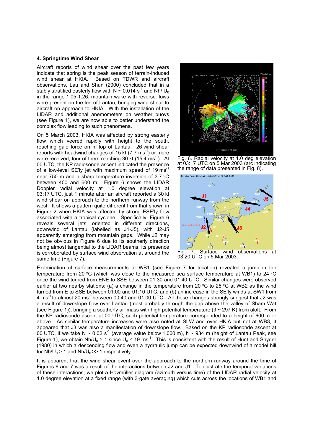#### **4. Springtime Wind Shear**

Aircraft reports of wind shear over the past few years indicate that spring is the peak season of terrain-induced wind shear at HKIA. Based on TDWR and aircraft observations, Lau and Shun (2000) concluded that in a stably stratified easterly flow with N ~ 0.014 s<sup>-1</sup> and Nh/ U<sub>0</sub> in the range 1.05-1.26, mountain wake with reverse flows were present on the lee of Lantau, bringing wind shear to aircraft on approach to HKIA. With the installation of the LIDAR and additional anemometers on weather buoys (see Figure 1), we are now able to better understand the complex flow leading to such phenomena.

On 5 March 2003, HKIA was affected by strong easterly flow which veered rapidly with height to the south, reaching gale force on hilltop of Lantau. 26 wind shear reports with headwind changes of 15 kt  $(7.7 \text{ ms}^{-1})$  or more were received, four of them reaching 30 kt (15.4 ms<sup>-1</sup>). At 00 UTC, the KP radiosonde ascent indicated the presence of a low-level SE'ly jet with maximum speed of 19 ms<sup>-1</sup> near 750 m and a sharp temperature inversion of 3.7 °C between 400 and 600 m. Figure 6 shows the LIDAR Doppler radial velocity at 1.0 degree elevation at 03:17 UTC, just 1 minute after an aircraft reported a 30 kt wind shear on approach to the northern runway from the west. It shows a pattern quite different from that shown in Figure 2 when HKIA was affected by strong ESE'ly flow associated with a tropical cyclone. Specifically, Figure 6 reveals several jets, oriented in different directions, downwind of Lantau (labelled as J1-J5), with J2-J5 apparently emerging from mountain gaps. While J2 may not be obvious in Figure 6 due to its southerly direction being almost tangential to the LIDAR beams, its presence is corroborated by surface wind observation at around the same time (Figure 7).



Fig. 6. Radial velocity at 1.0 deg elevation at 03:17 UTC on 5 Mar 2003 (arc indicating the range of data presented in Fig. 8).



Fig. 7. Surface wind observations at 03:20 UTC on 5 Mar 2003.

Examination of surface measurements at WB1 (see Figure 7 for location) revealed a jump in the temperature from 20 °C (which was close to the measured sea surface temperature at WB1) to 24 °C once the wind turned from ENE to SSE between 01:30 and 01:40 UTC. Similar changes were observed earlier at two nearby stations: (a) a change in the temperature from 20 °C to 25 °C at WB2 as the wind turned from E to SSE between 01:00 and 01:10 UTC; and (b) an increase in the SE'ly winds at SW1 from 4 ms<sup>-1</sup> to almost 20 ms<sup>-1</sup> between 00:40 and 01:00 UTC. All these changes strongly suggest that J2 was a result of downslope flow over Lantau (most probably through the gap above the valley of Sham Wat (see Figure 1)), bringing a southerly air mass with high potential temperature ( $\theta \sim 297$  K) from aloft. From the KP radiosonde ascent at 00 UTC, such potential temperature corresponded to a height of 600 m or above. As similar temperature increases were also noted at SLW and over HKIA but not at WB3, it appeared that J3 was also a manifestation of downslope flow. Based on the KP radiosonde ascent at 00 UTC, if we take N ~ 0.02 s<sup>-1</sup> (average value below 1 000 m), h ~ 934 m (height of Lantau Peak, see Figure 1), we obtain Nh/U<sub>0</sub>  $\geq$  1 since U<sub>0</sub>  $\leq$  19 ms<sup>-1</sup>. This is consistent with the result of Hunt and Snyder (1980) in which a descending flow and even a hydraulic jump can be expected downwind of a model hill for  $Nh/U_0 \ge 1$  and  $Nh/U_0 >> 1$  respectively.

It is apparent that the wind shear event over the approach to the northern runway around the time of Figures 6 and 7 was a result of the interactions between J2 and J1. To illustrate the temporal variations of these interactions, we plot a Hovmüller diagram (azimuth versus time) of the LIDAR radial velocity at 1.0 degree elevation at a fixed range (with 3-gate averaging) which cuts across the locations of WB1 and